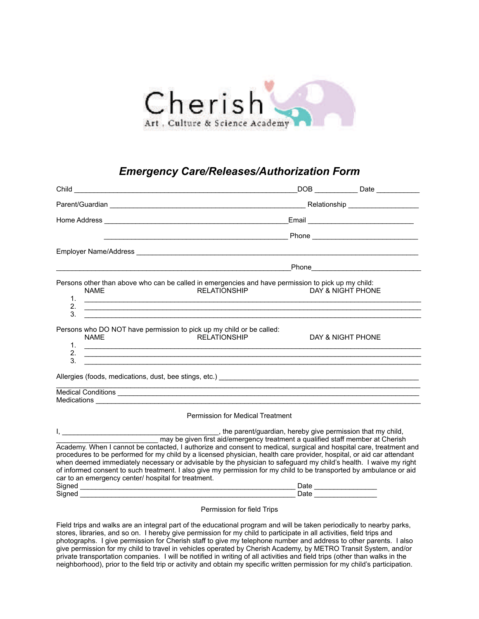

## *Emergency Care/Releases/Authorization Form*

|                                                                                                                                                                                                                                                                                                                                                                                                                                                                                                                                                                                                             |                                         | DOB Date                                                                                                                                                                                          |
|-------------------------------------------------------------------------------------------------------------------------------------------------------------------------------------------------------------------------------------------------------------------------------------------------------------------------------------------------------------------------------------------------------------------------------------------------------------------------------------------------------------------------------------------------------------------------------------------------------------|-----------------------------------------|---------------------------------------------------------------------------------------------------------------------------------------------------------------------------------------------------|
|                                                                                                                                                                                                                                                                                                                                                                                                                                                                                                                                                                                                             |                                         |                                                                                                                                                                                                   |
|                                                                                                                                                                                                                                                                                                                                                                                                                                                                                                                                                                                                             |                                         |                                                                                                                                                                                                   |
|                                                                                                                                                                                                                                                                                                                                                                                                                                                                                                                                                                                                             |                                         |                                                                                                                                                                                                   |
|                                                                                                                                                                                                                                                                                                                                                                                                                                                                                                                                                                                                             |                                         |                                                                                                                                                                                                   |
|                                                                                                                                                                                                                                                                                                                                                                                                                                                                                                                                                                                                             |                                         |                                                                                                                                                                                                   |
| Persons other than above who can be called in emergencies and have permission to pick up my child:<br><b>NAME</b><br>$\mathbf{1}$ .<br><u> 1989 - Johann Harry Harry Harry Harry Harry Harry Harry Harry Harry Harry Harry Harry Harry Harry Harry Harry</u><br>2.<br>,我们也不会有什么。""我们的人,我们也不会有什么?""我们的人,我们也不会有什么?""我们的人,我们也不会有什么?""我们的人,我们也不会有什么?""我们的人                                                                                                                                                                                                                                                      | <b>RELATIONSHIP</b>                     | DAY & NIGHT PHONE                                                                                                                                                                                 |
| 3.<br>Persons who DO NOT have permission to pick up my child or be called:<br><b>NAME</b><br>$\mathbf{1}$ .<br><u> 1989 - Andrea Barbara, poeta esperanto-poeta esperanto-poeta esperanto-poeta esperanto-poeta esperanto-poeta</u><br>2.<br>,我们也不会有什么。""我们的人,我们也不会有什么?""我们的人,我们也不会有什么?""我们的人,我们也不会有什么?""我们的人,我们也不会有什么?""我们的人<br>3.                                                                                                                                                                                                                                                                         | <b>RELATIONSHIP</b>                     | DAY & NIGHT PHONE                                                                                                                                                                                 |
| Allergies (foods, medications, dust, bee stings, etc.) <b>Allergies Example 2014 Constant Constant Constant Constant Constant Constant Constant Constant Constant Constant Constant Constant Constant Constant Constant Cons</b>                                                                                                                                                                                                                                                                                                                                                                            |                                         |                                                                                                                                                                                                   |
| Medical Conditions experience and the conditions of the conditions of the conditions of the conditions of the conditions of the conditions of the conditions of the conditions of the conditions of the conditions of the cond                                                                                                                                                                                                                                                                                                                                                                              |                                         |                                                                                                                                                                                                   |
|                                                                                                                                                                                                                                                                                                                                                                                                                                                                                                                                                                                                             | <b>Permission for Medical Treatment</b> |                                                                                                                                                                                                   |
| I, <u>and the contract of the contract of the contract</u><br>Academy. When I cannot be contacted, I authorize and consent to medical, surgical and hospital care, treatment and<br>procedures to be performed for my child by a licensed physician, health care provider, hospital, or aid car attendant<br>when deemed immediately necessary or advisable by the physician to safeguard my child's health. I waive my right<br>of informed consent to such treatment. I also give my permission for my child to be transported by ambulance or aid<br>car to an emergency center/ hospital for treatment. |                                         | the parent/guardian, hereby give permission that my child,<br>may be given first aid/emergency treatment a qualified staff member at Cherish<br>Date _________________<br>_Date _________________ |

## Permission for field Trips

Field trips and walks are an integral part of the educational program and will be taken periodically to nearby parks, stores, libraries, and so on. I hereby give permission for my child to participate in all activities, field trips and photographs. I give permission for Cherish staff to give my telephone number and address to other parents. I also give permission for my child to travel in vehicles operated by Cherish Academy, by METRO Transit System, and/or private transportation companies. I will be notified in writing of all activities and field trips (other than walks in the neighborhood), prior to the field trip or activity and obtain my specific written permission for my child's participation.